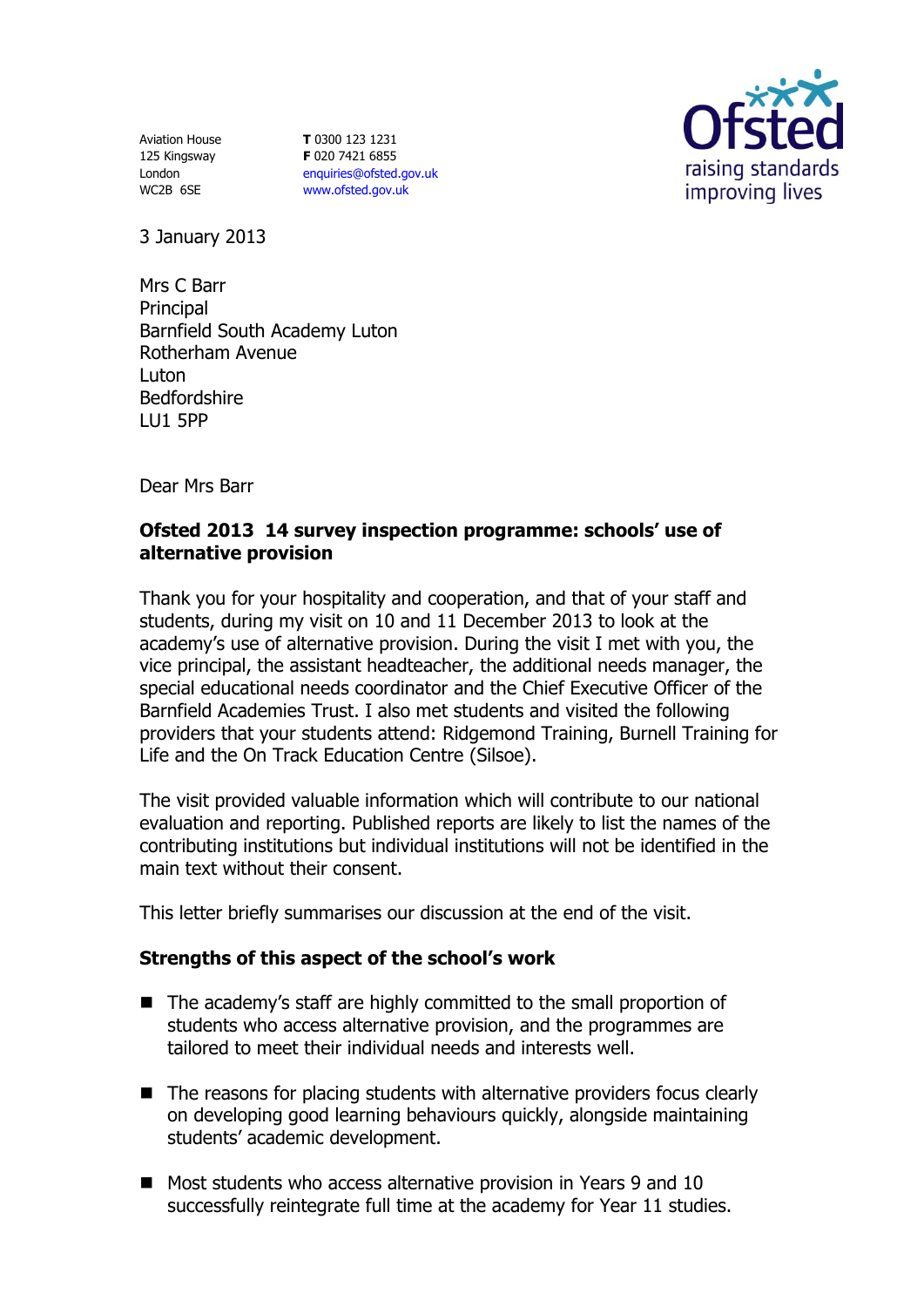Aviation House 125 Kingsway London WC2B 6SE

**T** 0300 123 1231 **F** 020 7421 6855 [enquiries@ofsted.gov.uk](mailto:enquiries@ofsted.gov.uk) [www.ofsted.gov.uk](http://www.ofsted.gov.uk/)



3 January 2013

Mrs C Barr **Principal** Barnfield South Academy Luton Rotherham Avenue Luton Bedfordshire LU1 5PP

Dear Mrs Barr

## **Ofsted 2013 14 survey inspection programme: schools' use of alternative provision**

Thank you for your hospitality and cooperation, and that of your staff and students, during my visit on 10 and 11 December 2013 to look at the academy's use of alternative provision. During the visit I met with you, the vice principal, the assistant headteacher, the additional needs manager, the special educational needs coordinator and the Chief Executive Officer of the Barnfield Academies Trust. I also met students and visited the following providers that your students attend: Ridgemond Training, Burnell Training for Life and the On Track Education Centre (Silsoe).

The visit provided valuable information which will contribute to our national evaluation and reporting. Published reports are likely to list the names of the contributing institutions but individual institutions will not be identified in the main text without their consent.

This letter briefly summarises our discussion at the end of the visit.

## **Strengths of this aspect of the school's work**

- The academy's staff are highly committed to the small proportion of students who access alternative provision, and the programmes are tailored to meet their individual needs and interests well.
- The reasons for placing students with alternative providers focus clearly on developing good learning behaviours quickly, alongside maintaining students' academic development.
- Most students who access alternative provision in Years 9 and 10 successfully reintegrate full time at the academy for Year 11 studies.